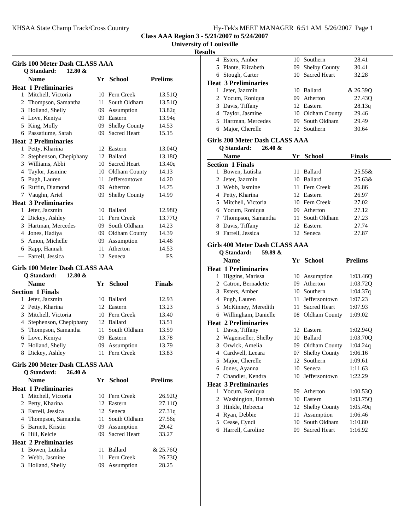**University of Louisville**

## **Results**

| Girls 100 Meter Dash CLASS AAA<br><b>Q</b> Standard:<br>$12.80 \&$ |                             |     |                      |                    |  |
|--------------------------------------------------------------------|-----------------------------|-----|----------------------|--------------------|--|
|                                                                    | <b>Name</b>                 | Yr  | School               | <b>Prelims</b>     |  |
|                                                                    | <b>Heat 1 Preliminaries</b> |     |                      |                    |  |
| 1                                                                  | Mitchell, Victoria          | 10  | Fern Creek           | 13.51Q             |  |
| 2                                                                  | Thompson, Samantha          | 11  | South Oldham         | 13.51Q             |  |
|                                                                    | 3 Holland, Shelly           | 09  | Assumption           | 13.82q             |  |
| 4                                                                  | Love, Keniya                | 09  | Eastern              | 13.94g             |  |
| 5                                                                  | King, Molly                 | 09  | <b>Shelby County</b> | 14.53              |  |
| 6                                                                  | Passatiume, Sarah           | 09  | <b>Sacred Heart</b>  | 15.15              |  |
|                                                                    | <b>Heat 2 Preliminaries</b> |     |                      |                    |  |
| 1                                                                  | Petty, Kharina              |     | 12 Eastern           | 13.040             |  |
| 2                                                                  | Stephenson, Chepiphany      | 12  | <b>Ballard</b>       | 13.18Q             |  |
|                                                                    | 3 Williams, Abbi            | 10  | <b>Sacred Heart</b>  | 13.40q             |  |
| 4                                                                  | Taylor, Jasmine             | 10  | Oldham County        | 14.13              |  |
| 5.                                                                 | Pugh, Lauren                | 11  | Jeffersontown        | 14.20              |  |
| 6                                                                  | Ruffin, Diamond             | 09  | Atherton             | 14.75              |  |
|                                                                    | 7 Vaughn, Ariel             | 09. | <b>Shelby County</b> | 14.99              |  |
|                                                                    | <b>Heat 3 Preliminaries</b> |     |                      |                    |  |
| 1                                                                  | Jeter, Jazzmin              | 10  | <b>Ballard</b>       | 12.98 <sub>O</sub> |  |
|                                                                    | 2 Dickey, Ashley            | 11  | Fern Creek           | 13.77Q             |  |
|                                                                    | 3 Hartman, Mercedes         | 09  | South Oldham         | 14.23              |  |
| 4                                                                  | Jones, Hadiya               | 09  | Oldham County        | 14.39              |  |
|                                                                    | 5 Amon, Michelle            | 09  | Assumption           | 14.46              |  |
| 6                                                                  | Rapp, Hannah                | 11  | Atherton             | 14.53              |  |
|                                                                    | --- Farrell, Jessica        | 12  | Seneca               | FS                 |  |

## **Girls 100 Meter Dash CLASS AAA**

|   | $12.80 \&$<br>O Standard: |     |                 |               |  |
|---|---------------------------|-----|-----------------|---------------|--|
|   | Name                      |     | Yr School       | <b>Finals</b> |  |
|   | <b>Section 1 Finals</b>   |     |                 |               |  |
| 1 | Jeter, Jazzmin            | 1() | Ballard         | 12.93         |  |
|   | 2 Petty, Kharina          |     | 12 Eastern      | 13.23         |  |
| 3 | Mitchell, Victoria        |     | 10 Fern Creek   | 13.40         |  |
|   | 4 Stephenson, Chepiphany  |     | 12 Ballard      | 13.51         |  |
|   | 5 Thompson, Samantha      |     | 11 South Oldham | 13.59         |  |
|   | 6 Love, Keniya            | 09  | Eastern         | 13.78         |  |
|   | Holland, Shelly           |     | 09 Assumption   | 13.79         |  |
| 8 | Dickey, Ashley            |     | 11 Fern Creek   | 13.83         |  |

#### **Girls 200 Meter Dash CLASS AAA Q Standard: 26.40 &**

|   | V Diamuaru.<br>$20.40 \times$ |                 |                |
|---|-------------------------------|-----------------|----------------|
|   | <b>Name</b>                   | Yr School       | <b>Prelims</b> |
|   | Heat 1 Preliminaries          |                 |                |
|   | Mitchell, Victoria            | 10 Fern Creek   | 26.920         |
|   | 2 Petty, Kharina              | 12 Eastern      | 27.110         |
|   | 3 Farrell, Jessica            | 12 Seneca       | 27.31q         |
|   | 4 Thompson, Samantha          | 11 South Oldham | 27.56q         |
|   | 5 Barnett, Kristin            | 09 Assumption   | 29.42          |
|   | 6 Hill, Kelcie                | 09 Sacred Heart | 33.27          |
|   | <b>Heat 2 Preliminaries</b>   |                 |                |
| 1 | Bowen, Lutisha                | 11 Ballard      | & 25.760       |
|   | 2 Webb, Jasmine               | 11 Fern Creek   | 26.730         |
|   | 3 Holland, Shelly             | 09 Assumption   | 28.25          |
|   |                               |                 |                |

|              | 4 Esters, Amber                |    | 10 Southern          | 28.41              |  |
|--------------|--------------------------------|----|----------------------|--------------------|--|
|              | 5 Plante, Elizabeth            |    | 09 Shelby County     | 30.41              |  |
|              | 6 Stough, Carter               |    | 10 Sacred Heart      | 32.28              |  |
|              | <b>Heat 3 Preliminaries</b>    |    |                      |                    |  |
| $\mathbf{1}$ | Jeter, Jazzmin                 |    | 10 Ballard           | & 26.39Q           |  |
|              | 2 Yocum, Roniqua               |    | 09 Atherton          | 27.43Q             |  |
|              | 3 Davis, Tiffany               |    | 12 Eastern           | 28.13q             |  |
|              | 4 Taylor, Jasmine              |    | 10 Oldham County     | 29.46              |  |
|              | 5 Hartman, Mercedes            |    | 09 South Oldham      | 29.49              |  |
|              | 6 Major, Cherelle              |    | 12 Southern          | 30.64              |  |
|              | Girls 200 Meter Dash CLASS AAA |    |                      |                    |  |
|              | Q Standard:<br>$26.40 \&$      |    |                      |                    |  |
|              | <b>Name</b>                    |    | Yr School            | Finals             |  |
|              | <b>Section 1 Finals</b>        |    |                      |                    |  |
|              | 1 Bowen, Lutisha               |    | 11 Ballard           | 25.55&             |  |
|              | 2 Jeter, Jazzmin               |    | 10 Ballard           | $25.63\&$          |  |
|              | 3 Webb, Jasmine                |    | 11 Fern Creek        | 26.86              |  |
|              | 4 Petty, Kharina               |    | 12 Eastern           | 26.97              |  |
|              | 5 Mitchell, Victoria           |    | 10 Fern Creek        | 27.02              |  |
|              | 6 Yocum, Roniqua               |    | 09 Atherton          | 27.12              |  |
|              | 7 Thompson, Samantha           | 11 | South Oldham         | 27.23              |  |
|              | 8 Davis, Tiffany               |    | 12 Eastern           | 27.74              |  |
|              | 9 Farrell, Jessica             |    | 12 Seneca            | 27.87              |  |
|              |                                |    |                      |                    |  |
|              |                                |    |                      |                    |  |
|              | Girls 400 Meter Dash CLASS AAA |    |                      |                    |  |
|              | Q Standard:<br>59.89 &         |    |                      |                    |  |
|              | <b>Name</b>                    |    | Yr School            | <b>Prelims</b>     |  |
|              | <b>Heat 1 Preliminaries</b>    |    |                      |                    |  |
|              | 1 Higgins, Marissa             |    | 10 Assumption        | 1:03.46Q           |  |
|              | 2 Catron, Bernadette           |    | 09 Atherton          | 1:03.72Q           |  |
|              | 3 Esters, Amber                |    | 10 Southern          | 1:04.37q           |  |
|              | 4 Pugh, Lauren                 |    | 11 Jeffersontown     | 1:07.23            |  |
|              | 5 McKinney, Meredith           |    | 11 Sacred Heart      | 1:07.93            |  |
|              | 6 Willingham, Danielle         |    | 08 Oldham County     | 1:09.02            |  |
|              | <b>Heat 2 Preliminaries</b>    |    |                      |                    |  |
| 1            | Davis, Tiffany                 |    | 12 Eastern           | 1:02.94Q           |  |
| 2            | Wagenseller, Shelby            |    | 10 Ballard           | 1:03.700           |  |
| 3            | Orwick, Amelia                 |    | 09 Oldham County     | 1:04.24q           |  |
|              | 4 Cardwell, Leeara             |    | 07 Shelby County     | 1:06.16            |  |
| 5            | Major, Cherelle                | 12 | Southern             | 1:09.61            |  |
| 6            | Jones, Ayanna                  | 10 | Seneca               | 1:11.63            |  |
| 7            | Chandler, Kendra               | 10 | Jeffersontown        | 1:22.29            |  |
|              | <b>Heat 3 Preliminaries</b>    |    |                      |                    |  |
| 1            | Yocum, Roniqua                 | 09 | Atherton             | 1:00.53Q           |  |
| 2            | Washington, Hannah             | 10 | Eastern              | 1:03.75Q           |  |
| 3            | Hinkle, Rebecca                | 12 | <b>Shelby County</b> | 1:05.49q           |  |
| 4            | Ryan, Debbie<br>Cease, Cyndi   | 11 | Assumption           | 1:06.46<br>1:10.80 |  |

6 Harrell, Caroline 09 Sacred Heart 1:16.92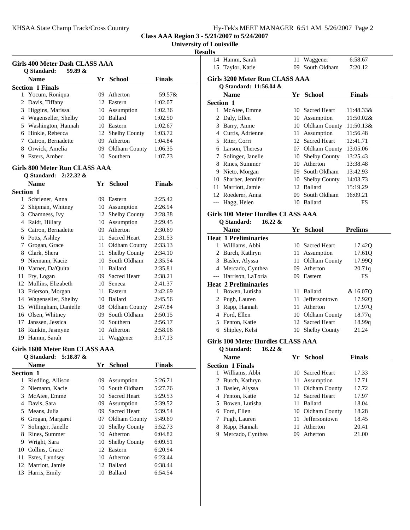**University of Louisville**

### **Results**

|   | <b>Name</b>             | Yr   | <b>School</b>    | <b>Finals</b> |
|---|-------------------------|------|------------------|---------------|
|   | <b>Section 1 Finals</b> |      |                  |               |
|   | 1 Yocum, Roniqua        | (99) | Atherton         | 59.57&        |
|   | 2 Davis, Tiffany        |      | 12. Eastern      | 1:02.07       |
|   | 3 Higgins, Marissa      |      | 10 Assumption    | 1:02.36       |
| 4 | Wagenseller, Shelby     |      | 10 Ballard       | 1:02.50       |
|   | 5 Washington, Hannah    |      | 10 Eastern       | 1:02.67       |
| 6 | Hinkle, Rebecca         |      | 12 Shelby County | 1:03.72       |
|   | Catron, Bernadette      | 09.  | Atherton         | 1:04.84       |
| 8 | Orwick, Amelia          |      | 09 Oldham County | 1:06.35       |
| 9 | Esters, Amber           |      | 10 Southern      | 1:07.73       |

#### **Girls 800 Meter Run CLASS AAA Q Standard: 2:22.32 &**

|                  | <b>Name</b>          | Yr | <b>School</b>        | <b>Finals</b> |
|------------------|----------------------|----|----------------------|---------------|
| <b>Section 1</b> |                      |    |                      |               |
| 1                | Schriener, Anna      | 09 | Eastern              | 2:25.42       |
| 2                | Shipman, Whitney     | 10 | Assumption           | 2:26.94       |
| 3                | Chamness, Ivy        | 12 | <b>Shelby County</b> | 2:28.38       |
| 4                | Raidt, Hillary       | 10 | Assumption           | 2:29.45       |
| 5                | Catron, Bernadette   | 09 | Atherton             | 2:30.69       |
| 6                | Potts, Ashley        | 11 | <b>Sacred Heart</b>  | 2:31.53       |
| 7                | Grogan, Grace        | 11 | Oldham County        | 2:33.13       |
| 8                | Clark, Shera         | 11 | <b>Shelby County</b> | 2:34.10       |
| 9                | Niemann, Kacie       | 10 | South Oldham         | 2:35.54       |
| 10               | Varner, Da'Quita     | 11 | <b>Ballard</b>       | 2:35.81       |
| 11               | Fry, Logan           | 09 | <b>Sacred Heart</b>  | 2:38.21       |
| 12               | Mullins, Elizabeth   | 10 | Seneca               | 2:41.37       |
| 13               | Frierson, Morgan     | 11 | Eastern              | 2:42.69       |
| 14               | Wagenseller, Shelby  | 10 | <b>Ballard</b>       | 2:45.56       |
| 15               | Willingham, Danielle | 08 | Oldham County        | 2:47.84       |
| 16               | Olsen, Whitney       | 09 | South Oldham         | 2:50.15       |
| 17               | Janssen, Jessica     | 10 | Southern             | 2:56.17       |
| 18               | Rankin, Jasmyne      | 10 | Atherton             | 2:58.06       |
| 19               | Hamm, Sarah          | 11 | Waggener             | 3:17.13       |

#### **Girls 1600 Meter Run CLASS AAA**

#### **Q Standard: 5:18.87 &**

|                  | <b>Name</b>       | Yr  | School               | <b>Finals</b> |
|------------------|-------------------|-----|----------------------|---------------|
| <b>Section 1</b> |                   |     |                      |               |
|                  | Riedling, Allison | 09  | Assumption           | 5:26.71       |
|                  | 2 Niemann, Kacie  |     | 10 South Oldham      | 5:27.76       |
| 3                | McAtee, Emme      |     | 10 Sacred Heart      | 5:29.53       |
| 4                | Davis, Sara       | 09. | Assumption           | 5:39.52       |
| 5.               | Means, Julia      | 09. | <b>Sacred Heart</b>  | 5:39.54       |
| 6                | Grogan, Margaret  |     | 07 Oldham County     | 5:49.69       |
| 7                | Solinger, Janelle | 10  | <b>Shelby County</b> | 5:52.73       |
| 8                | Rines, Summer     | 10  | Atherton             | 6:04.82       |
| 9                | Wright, Sara      |     | 10 Shelby County     | 6:09.51       |
| 10               | Collins, Grace    | 12  | Eastern              | 6:20.94       |
| 11               | Estes, Lyndsey    | 10  | Atherton             | 6:23.44       |
| 12               | Marriott, Jamie   | 12  | <b>Ballard</b>       | 6:38.44       |
| 13               | Harris, Emily     | 10  | <b>Ballard</b>       | 6:54.54       |
|                  |                   |     |                      |               |

|                                   | 14 Hamm, Sarah              | 11 | Waggener                   | 6:58.67        |  |  |  |
|-----------------------------------|-----------------------------|----|----------------------------|----------------|--|--|--|
|                                   | 15 Taylor, Katie            | 09 | South Oldham               | 7:20.12        |  |  |  |
| Girls 3200 Meter Run CLASS AAA    |                             |    |                            |                |  |  |  |
|                                   | Q Standard: 11:56.04 &      |    |                            |                |  |  |  |
|                                   | <b>Name</b>                 |    | Yr School                  | <b>Finals</b>  |  |  |  |
| <b>Section 1</b>                  |                             |    |                            |                |  |  |  |
|                                   | 1 McAtee, Emme              |    | 10 Sacred Heart            | 11:48.33&      |  |  |  |
| 2                                 | Daly, Ellen                 |    | 10 Assumption              | 11:50.02&      |  |  |  |
| 3                                 | Barry, Annie                |    | 10 Oldham County 11:50.13& |                |  |  |  |
|                                   | 4 Curtis, Adrienne          | 11 | Assumption                 | 11:56.48       |  |  |  |
| 5                                 | Riter, Corri                |    | 12 Sacred Heart            | 12:41.71       |  |  |  |
|                                   | 6 Larson, Theresa           |    | 07 Oldham County           | 13:05.06       |  |  |  |
| 7                                 | Solinger, Janelle           |    | 10 Shelby County           | 13:25.43       |  |  |  |
|                                   | 8 Rines, Summer             | 10 | Atherton                   | 13:38.48       |  |  |  |
|                                   | 9 Nieto, Morgan             |    | 09 South Oldham            | 13:42.93       |  |  |  |
|                                   | 10 Sharber, Jennifer        |    | 10 Shelby County           | 14:03.73       |  |  |  |
| 11                                | Marriott, Jamie             |    | 12 Ballard                 | 15:19.29       |  |  |  |
|                                   | 12 Roederer, Anna           |    | 09 South Oldham            | 16:09.21       |  |  |  |
| $---$                             | Hagg, Helen                 |    | 10 Ballard                 | FS             |  |  |  |
| Girls 100 Meter Hurdles CLASS AAA |                             |    |                            |                |  |  |  |
|                                   | Q Standard:<br>$16.22 \&$   |    |                            |                |  |  |  |
|                                   | Name                        | Yr | <b>School</b>              | <b>Prelims</b> |  |  |  |
|                                   | <b>Heat 1 Preliminaries</b> |    |                            |                |  |  |  |
| 1                                 | Williams, Abbi              | 10 | <b>Sacred Heart</b>        | 17.420         |  |  |  |

2 Burch, Kathryn 11 Assumption 17.61Q 3 Basler, Alyssa 11 Oldham County 17.99Q 4 20.71q Mercado, Cynthea 09 Atherton --- Harrison, LaToria 09 Eastern FS

1 Bowen, Lutisha 11 Ballard & 16.07Q 2 Pugh, Lauren 11 Jeffersontown 17.92Q 3 Rapp, Hannah 11 Atherton 17.97Q 4 Ford, Ellen 10 Oldham County 18.77q 5 Fenton, Katie 12 Sacred Heart 18.99q 6 21.24 Shipley, Kelsi 10 Shelby County

### **Girls 100 Meter Hurdles CLASS AAA**

**Heat 2 Preliminaries**

|    | $16.22 \&$<br>O Standard: |     |                  |               |  |
|----|---------------------------|-----|------------------|---------------|--|
|    | <b>Name</b>               |     | Yr School        | <b>Finals</b> |  |
|    | <b>Section 1 Finals</b>   |     |                  |               |  |
| L  | Williams, Abbi            |     | 10 Sacred Heart  | 17.33         |  |
|    | 2 Burch, Kathryn          |     | 11 Assumption    | 17.71         |  |
|    | 3 Basler, Alyssa          |     | 11 Oldham County | 17.72         |  |
|    | 4 Fenton, Katie           |     | 12 Sacred Heart  | 17.97         |  |
| 5. | Bowen, Lutisha            | 11. | Ballard          | 18.04         |  |
|    | 6 Ford, Ellen             |     | 10 Oldham County | 18.28         |  |
|    | Pugh, Lauren              |     | 11 Jeffersontown | 18.45         |  |
| 8  | Rapp, Hannah              | 11. | Atherton         | 20.41         |  |
| 9. | Mercado, Cynthea          | 09  | Atherton         | 21.00         |  |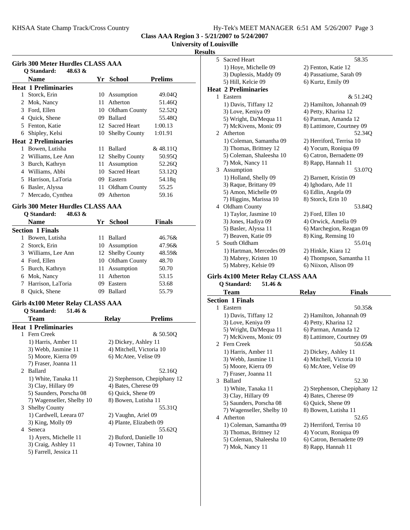## **University of Louisville**

### **Results**

| Girls 300 Meter Hurdles CLASS AAA<br>48.63 $\&$<br>Q Standard: |                             |    |                      |                    |  |
|----------------------------------------------------------------|-----------------------------|----|----------------------|--------------------|--|
|                                                                | <b>Name</b>                 | Yr | <b>School</b>        | <b>Prelims</b>     |  |
|                                                                | <b>Heat 1 Preliminaries</b> |    |                      |                    |  |
| 1                                                              | Storck, Erin                |    | 10 Assumption        | 49.04Q             |  |
| $\overline{2}$                                                 | Mok, Nancy                  | 11 | Atherton             | 51.46Q             |  |
| 3                                                              | Ford, Ellen                 |    | 10 Oldham County     | 52.52 <sub>O</sub> |  |
| 4                                                              | Quick, Shene                | 09 | <b>Ballard</b>       | 55.48O             |  |
| 5.                                                             | Fenton, Katie               |    | 12 Sacred Heart      | 1:00.13            |  |
| 6                                                              | Shipley, Kelsi              | 10 | <b>Shelby County</b> | 1:01.91            |  |
|                                                                | <b>Heat 2 Preliminaries</b> |    |                      |                    |  |
| 1                                                              | Bowen, Lutisha              | 11 | <b>Ballard</b>       | &48.11Q            |  |
| 2.                                                             | Williams, Lee Ann           | 12 | <b>Shelby County</b> | 50.95Q             |  |
| 3                                                              | Burch, Kathryn              | 11 | Assumption           | 52.260             |  |
| 4                                                              | Williams, Abbi              | 10 | <b>Sacred Heart</b>  | 53.12Q             |  |
| 5                                                              | Harrison, LaToria           | 09 | Eastern              | 54.18g             |  |
| 6                                                              | Basler, Alyssa              | 11 | Oldham County        | 55.25              |  |
| 7                                                              | Mercado, Cynthea            | 09 | Atherton             | 59.16              |  |

#### Girls 300 Meter Hurdles CLASS AAA<br>O Standard: 48.63.8; **Q Standard: 48.63 &**

| O Standard:<br>48.0 <i>3 &amp;</i> |    |                |                                                                                     |
|------------------------------------|----|----------------|-------------------------------------------------------------------------------------|
| Name                               |    |                | <b>Finals</b>                                                                       |
| <b>Section 1 Finals</b>            |    |                |                                                                                     |
| Bowen, Lutisha                     | 11 | <b>Ballard</b> | 46.76&                                                                              |
| 2 Storck, Erin                     |    |                | 47.96&                                                                              |
| Williams, Lee Ann                  |    |                | 48.59&                                                                              |
| Ford, Ellen                        |    |                | 48.70                                                                               |
| 5 Burch, Kathryn                   |    |                | 50.70                                                                               |
| 6 Mok, Nancy                       | 11 | Atherton       | 53.15                                                                               |
| 7 Harrison, LaToria                | 09 | Eastern        | 53.68                                                                               |
| Quick, Shene                       | 09 | Ballard        | 55.79                                                                               |
|                                    |    |                | Yr School<br>10 Assumption<br>12 Shelby County<br>10 Oldham County<br>11 Assumption |

#### **Girls 4x100 Meter Relay CLASS AAA Q Standard: 51.46 &**

|                             | O Dianual u.<br>$31.40 \alpha$ |                      |                              |
|-----------------------------|--------------------------------|----------------------|------------------------------|
|                             | Team                           | <b>Relay</b>         | <b>Prelims</b>               |
|                             | <b>Heat 1 Preliminaries</b>    |                      |                              |
|                             | 1 Fern Creek                   |                      | & 50.500                     |
|                             | 1) Harris, Amber 11            | 2) Dickey, Ashley 11 |                              |
|                             | 3) Webb, Jasmine 11            |                      | 4) Mitchell, Victoria 10     |
|                             | 5) Moore, Kierra 09            | 6) McAtee, Velise 09 |                              |
|                             | 7) Fraser, Joanna 11           |                      |                              |
| $\mathcal{D}_{\mathcal{L}}$ | <b>Ballard</b>                 |                      | 52.16O                       |
|                             | 1) White, Tanaka 11            |                      | 2) Stephenson, Chepiphany 12 |
|                             | 3) Clay, Hillary 09            | 4) Bates, Cherese 09 |                              |
|                             | 5) Saunders, Porscha 08        | 6) Quick, Shene 09   |                              |
|                             | 7) Wagenseller, Shelby 10      | 8) Bowen, Lutisha 11 |                              |
|                             | 3 Shelby County                |                      | 55.310                       |
|                             | 1) Cardwell, Leeara 07         | 2) Vaughn, Ariel 09  |                              |
|                             | 3) King, Molly 09              |                      | 4) Plante, Elizabeth 09      |
| 4                           | Seneca                         |                      | 55.620                       |
|                             | 1) Ayers, Michelle 11          |                      | 2) Buford, Danielle 10       |
|                             | 3) Craig, Ashley 11            | 4) Towner, Tahina 10 |                              |
|                             | 5) Farrell, Jessica 11         |                      |                              |
|                             |                                |                      |                              |

| 5  | <b>Sacred Heart</b>         | 58.35                     |
|----|-----------------------------|---------------------------|
|    | 1) Hoye, Michelle 09        | 2) Fenton, Katie 12       |
|    | 3) Duplessis, Maddy 09      | 4) Passatiume, Sarah 09   |
|    | 5) Hill, Kelcie 09          | 6) Kurtz, Emily 09        |
|    | <b>Heat 2 Preliminaries</b> |                           |
| 1. | Eastern                     | & 51.240                  |
|    | 1) Davis, Tiffany 12        | 2) Hamilton, Johannah 09  |
|    | 3) Love, Keniya 09          | 4) Petty, Kharina 12      |
|    | 5) Wright, Da'Mequa 11      | 6) Parman, Amanda 12      |
|    | 7) McKivens, Monic 09       | 8) Lattimore, Courtney 09 |
|    | 2 Atherton                  | 52.340                    |
|    | 1) Coleman, Samantha 09     | 2) Herriford, Terrisa 10  |
|    | 3) Thomas, Brittney 12      | 4) Yocum, Roniqua 09      |
|    | 5) Coleman, Shaleesha 10    | 6) Catron, Bernadette 09  |
|    | 7) Mok, Nancy 11            | 8) Rapp, Hannah 11        |
|    | 3 Assumption                | 53.07Q                    |
|    | 1) Holland, Shelly 09       | 2) Barnett, Kristin 09    |
|    | 3) Raque, Brittany 09       | 4) Ighodaro, Ade 11       |
|    | 5) Amon, Michelle 09        | 6) Edlin, Angela 09       |
|    | 7) Higgins, Marissa 10      | 8) Storck, Erin 10        |
|    | 4 Oldham County             | 53.840                    |
|    | 1) Taylor, Jasmine 10       | 2) Ford, Ellen 10         |
|    | 3) Jones, Hadiya 09         | 4) Orwick, Amelia 09      |
|    | 5) Basler, Alyssa 11        | 6) Marchegion, Reagan 09  |
|    | 7) Beaven, Katie 09         | 8) King, Remsing 10       |
| 5  | South Oldham                | 55.01q                    |
|    | 1) Hartman, Mercedes 09     | 2) Hinkle, Kiara 12       |
|    | 3) Mabrey, Kristen 10       | 4) Thompson, Samantha 11  |
|    | 5) Mabrey, Kelsie 09        | 6) Niixon, Alison 09      |
|    |                             |                           |

#### **Girls 4x100 Meter Relay CLASS AAA Q Standard: 51.46 &**

|   | Q Standard:<br>51.46 &    |                              |
|---|---------------------------|------------------------------|
|   | Team                      | <b>Finals</b><br>Relav       |
|   | <b>Section 1 Finals</b>   |                              |
|   | 1 Eastern                 | 50.35&                       |
|   | 1) Davis, Tiffany 12      | 2) Hamilton, Johannah 09     |
|   | 3) Love, Keniya 09        | 4) Petty, Kharina 12         |
|   | 5) Wright, Da'Mequa 11    | 6) Parman, Amanda 12         |
|   | 7) McKivens, Monic 09     | 8) Lattimore, Courtney 09    |
|   | 2 Fern Creek              | $50.65\&$                    |
|   | 1) Harris, Amber 11       | 2) Dickey, Ashley 11         |
|   | 3) Webb, Jasmine 11       | 4) Mitchell, Victoria 10     |
|   | 5) Moore, Kierra 09       | 6) McAtee, Velise 09         |
|   | 7) Fraser, Joanna 11      |                              |
| 3 | Ballard                   | 52.30                        |
|   | 1) White, Tanaka 11       | 2) Stephenson, Chepiphany 12 |
|   | 3) Clay, Hillary 09       | 4) Bates, Cherese 09         |
|   | 5) Saunders, Porscha 08   | 6) Quick, Shene 09           |
|   | 7) Wagenseller, Shelby 10 | 8) Bowen, Lutisha 11         |
| 4 | Atherton                  | 52.65                        |
|   | 1) Coleman, Samantha 09   | 2) Herriford, Terrisa 10     |
|   | 3) Thomas, Brittney 12    | 4) Yocum, Roniqua 09         |
|   | 5) Coleman, Shaleesha 10  | 6) Catron, Bernadette 09     |
|   | 7) Mok, Nancy 11          | 8) Rapp, Hannah 11           |
|   |                           |                              |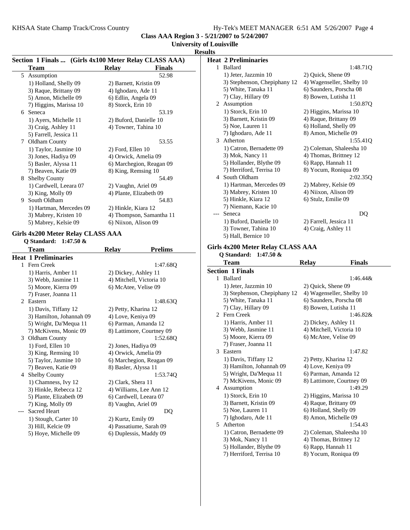## **University of Louisville**

|                                   |                                                                      |                           |                | <b>Results</b> |                                                     |                                            |               |
|-----------------------------------|----------------------------------------------------------------------|---------------------------|----------------|----------------|-----------------------------------------------------|--------------------------------------------|---------------|
|                                   | Section 1 Finals  (Girls 4x100 Meter Relay CLASS AAA)<br><b>Team</b> | Relay                     | <b>Finals</b>  |                | <b>Heat 2 Preliminaries</b><br>1 Ballard            |                                            | 1:48.71Q      |
|                                   | 5 Assumption                                                         |                           | 52.98          |                | 1) Jeter, Jazzmin 10                                | 2) Quick, Shene 09                         |               |
|                                   | 1) Holland, Shelly 09                                                | 2) Barnett, Kristin 09    |                |                | 3) Stephenson, Chepiphany 12                        | 4) Wagenseller, Shelby 10                  |               |
|                                   | 3) Raque, Brittany 09                                                | 4) Ighodaro, Ade 11       |                |                | 5) White, Tanaka 11                                 | 6) Saunders, Porscha 08                    |               |
|                                   | 5) Amon, Michelle 09                                                 | 6) Edlin, Angela 09       |                |                | 7) Clay, Hillary 09                                 | 8) Bowen, Lutisha 11                       |               |
|                                   | 7) Higgins, Marissa 10                                               | 8) Storck, Erin 10        |                |                | 2 Assumption                                        |                                            | 1:50.87Q      |
|                                   | 6 Seneca                                                             |                           | 53.19          |                | 1) Storck, Erin 10                                  | 2) Higgins, Marissa 10                     |               |
|                                   | 1) Ayers, Michelle 11                                                | 2) Buford, Danielle 10    |                |                | 3) Barnett, Kristin 09                              | 4) Raque, Brittany 09                      |               |
|                                   | 3) Craig, Ashley 11                                                  | 4) Towner, Tahina 10      |                |                | 5) Noe, Lauren 11                                   | 6) Holland, Shelly 09                      |               |
|                                   | 5) Farrell, Jessica 11                                               |                           |                |                | 7) Ighodaro, Ade 11                                 | 8) Amon, Michelle 09                       |               |
|                                   | 7 Oldham County                                                      |                           | 53.55          |                | 3 Atherton                                          |                                            | 1:55.41Q      |
|                                   | 1) Taylor, Jasmine 10                                                | 2) Ford, Ellen 10         |                |                | 1) Catron, Bernadette 09                            | 2) Coleman, Shaleesha 10                   |               |
|                                   | 3) Jones, Hadiya 09                                                  | 4) Orwick, Amelia 09      |                |                | 3) Mok, Nancy 11                                    | 4) Thomas, Brittney 12                     |               |
|                                   | 5) Basler, Alyssa 11                                                 | 6) Marchegion, Reagan 09  |                |                | 5) Hollander, Blythe 09                             | 6) Rapp, Hannah 11                         |               |
|                                   | 7) Beaven, Katie 09                                                  | 8) King, Remsing 10       |                |                | 7) Herriford, Terrisa 10                            | 8) Yocum, Roniqua 09                       |               |
|                                   | 8 Shelby County                                                      |                           | 54.49          |                | 4 South Oldham                                      |                                            | 2:02.35Q      |
|                                   | 1) Cardwell, Leeara 07                                               | 2) Vaughn, Ariel 09       |                |                | 1) Hartman, Mercedes 09                             | 2) Mabrey, Kelsie 09                       |               |
|                                   | 3) King, Molly 09                                                    | 4) Plante, Elizabeth 09   |                |                | 3) Mabrey, Kristen 10                               | 4) Niixon, Alison 09                       |               |
|                                   | 9 South Oldham                                                       |                           | 54.83          |                | 5) Hinkle, Kiara 12                                 | 6) Stulz, Emilie 09                        |               |
|                                   | 1) Hartman, Mercedes 09                                              | 2) Hinkle, Kiara 12       |                |                | 7) Niemann, Kacie 10                                |                                            |               |
|                                   | 3) Mabrey, Kristen 10                                                | 4) Thompson, Samantha 11  |                | $---$          | Seneca                                              |                                            | DQ            |
|                                   | 5) Mabrey, Kelsie 09                                                 | 6) Niixon, Alison 09      |                |                | 1) Buford, Danielle 10                              | 2) Farrell, Jessica 11                     |               |
|                                   |                                                                      |                           |                |                | 3) Towner, Tahina 10                                | 4) Craig, Ashley 11                        |               |
|                                   | Girls 4x200 Meter Relay CLASS AAA                                    |                           |                |                | 5) Hall, Bernice 10                                 |                                            |               |
|                                   | Q Standard: 1:47.50 &                                                |                           |                |                |                                                     |                                            |               |
|                                   | <b>Team</b>                                                          | <b>Relay</b>              | <b>Prelims</b> |                | Girls 4x200 Meter Relay CLASS AAA                   |                                            |               |
|                                   | <b>Heat 1 Preliminaries</b>                                          |                           |                |                | Q Standard: 1:47.50 &                               |                                            |               |
|                                   | 1 Fern Creek                                                         |                           | 1:47.68Q       |                | <b>Team</b>                                         | <b>Relay</b>                               | <b>Finals</b> |
|                                   | 1) Harris, Amber 11                                                  | 2) Dickey, Ashley 11      |                |                | <b>Section 1 Finals</b>                             |                                            |               |
|                                   | 3) Webb, Jasmine 11                                                  | 4) Mitchell, Victoria 10  |                |                | 1 Ballard                                           |                                            | $1:46.44\&$   |
|                                   | 5) Moore, Kierra 09                                                  | 6) McAtee, Velise 09      |                |                | 1) Jeter, Jazzmin 10                                | 2) Quick, Shene 09                         |               |
|                                   | 7) Fraser, Joanna 11                                                 |                           |                |                | 3) Stephenson, Chepiphany 12                        | 4) Wagenseller, Shelby 10                  |               |
|                                   | 2 Eastern                                                            |                           | 1:48.63Q       |                | 5) White, Tanaka 11                                 | 6) Saunders, Porscha 08                    |               |
|                                   | 1) Davis, Tiffany 12                                                 | 2) Petty, Kharina 12      |                |                | 7) Clay, Hillary 09                                 | 8) Bowen, Lutisha 11                       |               |
|                                   | 3) Hamilton, Johannah 09                                             | 4) Love, Keniya 09        |                |                | 2 Fern Creek                                        |                                            | 1:46.82&      |
|                                   | 5) Wright, Da'Mequa 11                                               | 6) Parman, Amanda 12      |                |                | 1) Harris, Amber 11                                 | 2) Dickey, Ashley 11                       |               |
|                                   | 7) McKivens, Monic 09                                                | 8) Lattimore, Courtney 09 |                |                |                                                     |                                            |               |
|                                   | 3 Oldham County                                                      |                           |                |                | 3) Webb, Jasmine 11                                 | 4) Mitchell, Victoria 10                   |               |
|                                   |                                                                      |                           | 1:52.68Q       |                | 5) Moore, Kierra 09                                 | 6) McAtee, Velise 09                       |               |
|                                   | 1) Ford, Ellen 10                                                    | 2) Jones, Hadiya 09       |                |                | 7) Fraser, Joanna 11                                |                                            |               |
|                                   | 3) King, Remsing 10                                                  | 4) Orwick, Amelia 09      |                |                | 3 Eastern                                           |                                            | 1:47.82       |
|                                   | 5) Taylor, Jasmine 10                                                | 6) Marchegion, Reagan 09  |                |                | 1) Davis, Tiffany 12                                | 2) Petty, Kharina 12                       |               |
|                                   | 7) Beaven, Katie 09                                                  | 8) Basler, Alyssa 11      |                |                | 3) Hamilton, Johannah 09                            | 4) Love, Keniya 09                         |               |
|                                   | 4 Shelby County                                                      |                           | 1:53.74Q       |                | 5) Wright, Da'Mequa 11                              | 6) Parman, Amanda 12                       |               |
|                                   | 1) Chamness, Ivy 12                                                  | 2) Clark, Shera 11        |                |                | 7) McKivens, Monic 09                               | 8) Lattimore, Courtney 09                  |               |
|                                   | 3) Hinkle, Rebecca 12                                                | 4) Williams, Lee Ann 12   |                |                | 4 Assumption                                        |                                            | 1:49.29       |
|                                   | 5) Plante, Elizabeth 09                                              | 6) Cardwell, Leeara 07    |                |                | 1) Storck, Erin 10                                  | 2) Higgins, Marissa 10                     |               |
|                                   | 7) King, Molly 09                                                    | 8) Vaughn, Ariel 09       |                |                | 3) Barnett, Kristin 09                              | 4) Raque, Brittany 09                      |               |
| $\hspace{0.05cm} \dashrightarrow$ | Sacred Heart                                                         |                           | DQ             |                | 5) Noe, Lauren 11                                   | 6) Holland, Shelly 09                      |               |
|                                   | 1) Stough, Carter 10                                                 | 2) Kurtz, Emily 09        |                |                | 7) Ighodaro, Ade 11                                 | 8) Amon, Michelle 09                       |               |
|                                   | 3) Hill, Kelcie 09                                                   | 4) Passatiume, Sarah 09   |                |                | 5 Atherton                                          |                                            | 1:54.43       |
|                                   | 5) Hoye, Michelle 09                                                 | 6) Duplessis, Maddy 09    |                |                | 1) Catron, Bernadette 09                            | 2) Coleman, Shaleesha 10                   |               |
|                                   |                                                                      |                           |                |                | 3) Mok, Nancy 11                                    | 4) Thomas, Brittney 12                     |               |
|                                   |                                                                      |                           |                |                | 5) Hollander, Blythe 09<br>7) Herriford, Terrisa 10 | 6) Rapp, Hannah 11<br>8) Yocum, Roniqua 09 |               |

# 5) Hollander, Blythe 09 6) Rapp, Hannah 11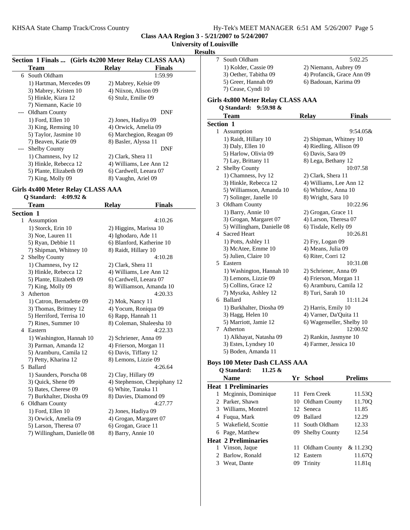## **University of Louisville**

**Result** 

| Section 1 Finals  (Girls 4x200 Meter Relay CLASS AAA) |                         |                          |               |  |
|-------------------------------------------------------|-------------------------|--------------------------|---------------|--|
|                                                       | Team                    | <b>Relay</b>             | <b>Finals</b> |  |
|                                                       | 6 South Oldham          |                          | 1:59.99       |  |
|                                                       | 1) Hartman, Mercedes 09 | 2) Mabrey, Kelsie 09     |               |  |
|                                                       | 3) Mabrey, Kristen 10   | 4) Niixon, Alison 09     |               |  |
|                                                       | 5) Hinkle, Kiara 12     | 6) Stulz, Emilie 09      |               |  |
|                                                       | 7) Niemann, Kacie 10    |                          |               |  |
|                                                       | --- Oldham County       |                          | DNF           |  |
|                                                       | 1) Ford, Ellen 10       | 2) Jones, Hadiya 09      |               |  |
|                                                       | 3) King, Remsing 10     | 4) Orwick, Amelia 09     |               |  |
|                                                       | 5) Taylor, Jasmine 10   | 6) Marchegion, Reagan 09 |               |  |
|                                                       | 7) Beaven, Katie 09     | 8) Basler, Alyssa 11     |               |  |
|                                                       | <b>Shelby County</b>    |                          | DNF           |  |
|                                                       | 1) Chamness, Ivy 12     | 2) Clark, Shera 11       |               |  |
|                                                       | 3) Hinkle, Rebecca 12   | 4) Williams, Lee Ann 12  |               |  |
|                                                       | 5) Plante, Elizabeth 09 | 6) Cardwell, Leeara 07   |               |  |
|                                                       | 7) King, Molly 09       | 8) Vaughn, Ariel 09      |               |  |

### **Girls 4x400 Meter Relay CLASS AAA Q Standard: 4:09.92 &**

|    | <b>Team</b>                | <b>Relay</b>           | <b>Finals</b>                |
|----|----------------------------|------------------------|------------------------------|
|    | <b>Section 1</b>           |                        |                              |
| 1  | Assumption                 |                        | 4:10.26                      |
|    | 1) Storck, Erin 10         | 2) Higgins, Marissa 10 |                              |
|    | 3) Noe, Lauren 11          | 4) Ighodaro, Ade 11    |                              |
|    | 5) Ryan, Debbie 11         |                        | 6) Blanford, Katherine 10    |
|    | 7) Shipman, Whitney 10     | 8) Raidt, Hillary 10   |                              |
|    | 2 Shelby County            |                        | 4:10.28                      |
|    | 1) Chamness, Ivy 12        | 2) Clark, Shera 11     |                              |
|    | 3) Hinkle, Rebecca 12      |                        | 4) Williams, Lee Ann 12      |
|    | 5) Plante, Elizabeth 09    | 6) Cardwell, Leeara 07 |                              |
|    | 7) King, Molly 09          |                        | 8) Williamson, Amanda 10     |
| 3  | Atherton                   |                        | 4:20.33                      |
|    | 1) Catron, Bernadette 09   | 2) Mok, Nancy 11       |                              |
|    | 3) Thomas, Brittney 12     | 4) Yocum, Roniqua 09   |                              |
|    | 5) Herriford, Terrisa 10   | 6) Rapp, Hannah 11     |                              |
|    | 7) Rines, Summer 10        |                        | 8) Coleman, Shaleesha 10     |
| 4  | Eastern                    |                        | 4:22.33                      |
|    | 1) Washington, Hannah 10   | 2) Schriener, Anna 09  |                              |
|    | 3) Parman, Amanda 12       | 4) Frierson, Morgan 11 |                              |
|    | 5) Aramburu, Camila 12     | 6) Davis, Tiffany 12   |                              |
|    | 7) Petty, Kharina 12       | 8) Lemons, Lizzie 09   |                              |
| 5. | Ballard                    |                        | 4:26.64                      |
|    | 1) Saunders, Porscha 08    | 2) Clay, Hillary 09    |                              |
|    | 3) Quick, Shene 09         |                        | 4) Stephenson, Chepiphany 12 |
|    | 5) Bates, Cherese 09       | 6) White, Tanaka 11    |                              |
|    | 7) Burkhalter, Diosha 09   |                        | 8) Davies, Diamond 09        |
|    | 6 Oldham County            |                        | 4:27.77                      |
|    | 1) Ford, Ellen 10          | 2) Jones, Hadiya 09    |                              |
|    | 3) Orwick, Amelia 09       |                        | 4) Grogan, Margaret 07       |
|    | 5) Larson, Theresa 07      | 6) Grogan, Grace 11    |                              |
|    | 7) Willingham, Danielle 08 | 8) Barry, Annie 10     |                              |

| ults |                                          |                               |  |
|------|------------------------------------------|-------------------------------|--|
| 7    | South Oldham                             | 5:02.25                       |  |
|      | 1) Kolder, Cassie 09                     | 2) Niemann, Aubrey 09         |  |
|      | 3) Oether, Tabitha 09                    | 4) Profancik, Grace Ann 09    |  |
|      | 5) Greer, Hannah 09                      | 6) Badouan, Karima 09         |  |
|      | 7) Cease, Cyndi 10                       |                               |  |
|      | <b>Girls 4x800 Meter Relay CLASS AAA</b> |                               |  |
|      | Q Standard: 9:59.98 &                    |                               |  |
|      | <b>Team</b>                              | <b>Relay</b><br><b>Finals</b> |  |
|      | Section 1                                |                               |  |
|      | 1 Assumption                             | $9:54.05\&$                   |  |
|      | 1) Raidt, Hillary 10                     | 2) Shipman, Whitney 10        |  |
|      | 3) Daly, Ellen 10                        | 4) Riedling, Allison 09       |  |
|      | 5) Harlow, Olivia 09                     | 6) Davis, Sara 09             |  |
|      | 7) Lay, Brittany 11                      | 8) Lega, Bethany 12           |  |
|      | 2 Shelby County                          | 10:07.58                      |  |
|      | 1) Chamness, Ivy 12                      | 2) Clark, Shera 11            |  |
|      | 3) Hinkle, Rebecca 12                    | 4) Williams, Lee Ann 12       |  |
|      | 5) Williamson, Amanda 10                 | 6) Whitlow, Anna 10           |  |
|      | 7) Solinger, Janelle 10                  | 8) Wright, Sara 10            |  |
|      | 3 Oldham County                          | 10:22.96                      |  |
|      | 1) Barry, Annie 10                       | 2) Grogan, Grace 11           |  |
|      | 3) Grogan, Margaret 07                   | 4) Larson, Theresa 07         |  |
|      | 5) Willingham, Danielle 08               | 6) Tisdale, Kelly 09          |  |
|      | 4 Sacred Heart                           | 10:26.81                      |  |
|      | 1) Potts, Ashley 11                      | 2) Fry, Logan 09              |  |
|      | 3) McAtee, Emme 10                       | 4) Means, Julia 09            |  |
|      | 5) Julien, Claire 10                     | 6) Riter, Corri 12            |  |
|      | 5 Eastern                                | 10:31.08                      |  |
|      | 1) Washington, Hannah 10                 | 2) Schriener, Anna 09         |  |
|      | 3) Lemons, Lizzie 09                     | 4) Frierson, Morgan 11        |  |
|      | 5) Collins, Grace 12                     | 6) Aramburu, Camila 12        |  |
|      | 7) Myszka, Ashley 12                     | 8) Turi, Sarah 10             |  |
|      | 6 Ballard                                | 11:11.24                      |  |
|      | 1) Burkhalter, Diosha 09                 | 2) Harris, Emily 10           |  |
|      | 3) Hagg, Helen 10                        | 4) Varner, Da'Quita 11        |  |
|      | 5) Marriott, Jamie 12                    | 6) Wagenseller, Shelby 10     |  |
|      | 7 Atherton                               | 12:00.92                      |  |
|      | 1) Alkhayat, Natasha 09                  | 2) Rankin, Jasmyne 10         |  |
|      | 3) Estes, Lyndsey 10                     | 4) Farmer, Jessica 10         |  |
|      | 5) Boden, Amanda 11                      |                               |  |
|      |                                          |                               |  |

#### **Boys 100 Meter Dash CLASS AAA Q Standard: 11.25 &**

|   | v vianuai u.<br>11. <i>20 W</i> |    |                  |                |
|---|---------------------------------|----|------------------|----------------|
|   | <b>Name</b>                     |    | Yr School        | <b>Prelims</b> |
|   | <b>Heat 1 Preliminaries</b>     |    |                  |                |
|   | Meginnis, Dominique             |    | 11 Fern Creek    | 11.530         |
|   | 2 Parker, Shawn                 |    | 10 Oldham County | 11.70O         |
|   | 3 Williams, Montrel             |    | 12 Seneca        | 11.85          |
| 4 | Fuqua, Mark                     | 09 | <b>Ballard</b>   | 12.29          |
|   | 5 Wakefield, Scottie            |    | 11 South Oldham  | 12.33          |
|   | 6 Page, Matthew                 |    | 09 Shelby County | 12.54          |
|   | <b>Heat 2 Preliminaries</b>     |    |                  |                |
|   | 1 Vinson, Jaque                 |    | 11 Oldham County | & 11.230       |
|   | 2 Barlow, Ronald                |    | 12 Eastern       | 11.670         |
| 3 | Weat, Dante                     | 09 | Trinity          | 11.81q         |
|   |                                 |    |                  |                |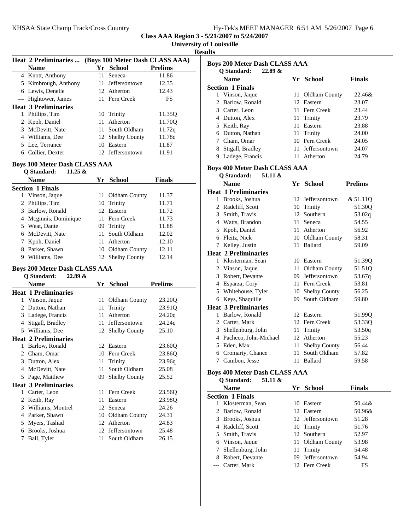| Hy-Tek's MEET MANAGER 6:51 AM 5/26/2007 Page 6 |
|------------------------------------------------|
|------------------------------------------------|

**University of Louisville Heat 2 Preliminaries ... (Boys 100 Meter Dash CLASS AAA) Name Prelims Prelims** 4 Knott, Anthony 11 Seneca 11.86 5 Kimbrough, Anthony 11 Jeffersontown 12.35 6 12.43 Lewis, Denelle 12 Atherton Hightower, James 11 Fern Creek FS **Heat 3 Preliminaries** 1 Phillips, Tim 10 Trinity 11.35Q 2 Kpoh, Daniel 11 Atherton 11.70Q 3 McDevitt, Nate 11 South Oldham 11.72q 4 Williams, Dee 12 Shelby County 11.78q 5 11.87 Lee, Terrance 10 Eastern 6 11.91 Collier, Dexter 12 Jeffersontown **Boys 100 Meter Dash CLASS AAA Q Standard: 11.25 & Name Finals Property Property Property Property Property Property Property Property Property Property Property Property Property Property Property Property Property Property Propert Section 1 Finals** 1 Vinson, Jaque 11 Oldham County 11.37 2 Phillips, Tim 10 Trinity 11.71 3 11.72 Barlow, Ronald 12 Eastern 4 11.73 Mcginnis, Dominique 11 Fern Creek 5 11.88 Weat, Dante 09 Trinity 6 12.02 McDevitt, Nate 11 South Oldham 7 Kpoh, Daniel 11 Atherton 12.10 8 Parker, Shawn 10 Oldham County 12.11 9 Williams, Dee 12 Shelby County 12.14 **Boys 200 Meter Dash CLASS AAA Q Standard: 22.89 & Name Prelims Prelims Heat 1 Preliminaries** 1 23.20Q Vinson, Jaque 11 Oldham County 2 Dutton, Nathan 11 Trinity 23.910 3 24.20q Ladege, Francis 11 Atherton 4 24.24q Stigall, Bradley 11 Jeffersontown 5 Williams, Dee 12 Shelby County 25.10 **Heat 2 Preliminaries** 1 Barlow, Ronald 12 Eastern 23.600 2 23.86Q Cham, Omar 10 Fern Creek 3 23.96q Dutton, Alex 11 Trinity 4 McDevitt, Nate 11 South Oldham 25.08 5 Page, Matthew 09 Shelby County 25.52 **Heat 3 Preliminaries** 1 23.56Q Carter, Leon 11 Fern Creek 2 23.98Q Keith, Ray 11 Eastern 3 24.26 Williams, Montrel 12 Seneca 4 Parker, Shawn 10 Oldham County 24.31 5 24.83 Myers, Tashad 12 Atherton 6 25.48 Brooks, Joshua 12 Jeffersontown 7 Ball, Tyler 11 South Oldham 26.15

**Results Boys 200 Meter Dash CLASS AAA Q Standard: 22.89 & Name Parame Property Property Property Property Property Property Property Property Property Property Property Property Property Property Property Property Property Property Propert Section 1 Finals** 1 Vinson, Jaque 11 Oldham County 22.46& 2 Barlow, Ronald 12 Eastern 23.07 3 23.44 Carter, Leon 11 Fern Creek 4 23.79 Dutton, Alex 11 Trinity 5 23.88 Keith, Ray 11 Eastern 6 24.00 Dutton, Nathan 11 Trinity 7 24.05 Cham, Omar 10 Fern Creek 8 Stigall, Bradley 11 Jeffersontown 24.07 9 24.79 Ladege, Francis 11 Atherton **Boys 400 Meter Dash CLASS AAA Q Standard: 51.11 & Name Prelims Prelims Heat 1 Preliminaries** 1 Brooks, Joshua 12 Jeffersontown & 51.11Q 2 Radcliff, Scott 10 Trinity 51.30Q 3 53.02q Smith, Travis 12 Southern 4 Watts, Brandon 11 Seneca 54.55 5 56.92 Kpoh, Daniel 11 Atherton 6 Fleitz, Nick 10 Oldham County 58.31 7 59.09 Kelley, Justin 11 Ballard **Heat 2 Preliminaries** 1 Klosterman, Sean 10 Eastern 51.390 2 Vinson, Jaque 11 Oldham County 51.51Q 3 53.67q Robert, Devante 09 Jeffersontown 4 53.81 Esparza, Cory 11 Fern Creek 5 Whitehouse, Tyler 10 Shelby County 56.25 6 59.80 Keys, Shaquille 09 South Oldham **Heat 3 Preliminaries** 1 Barlow, Ronald 12 Eastern 51.990 2 Carter, Mark 12 Fern Creek 53.330 3 Shellenburg, John 11 Trinity 53.50q 4 55.23 Pacheco, John-Michael 12 Atherton 5 Eden, Max 11 Shelby County 56.44 6 57.82 Cromarty, Chance 11 South Oldham 7 59.58 Cambon, Jesse 11 Ballard **Boys 400 Meter Dash CLASS AAA Q Standard: 51.11 & Name Finals Property Property Property Property Property Property Property Property Property Property Property Property Property Property Property Property Property Property Propert Section 1 Finals** 1 Klosterman, Sean 10 Eastern 50.44& 2 Barlow, Ronald 12 Eastern 50.96& 3 51.28 Brooks, Joshua 12 Jeffersontown

## 4 Radcliff, Scott 10 Trinity 51.76 5 52.97 Smith, Travis 12 Southern 6 53.98 Vinson, Jaque 11 Oldham County 7 54.48 Shellenburg, John 11 Trinity 8 54.94 Robert, Devante 09 Jeffersontown

--- Carter, Mark 12 Fern Creek FS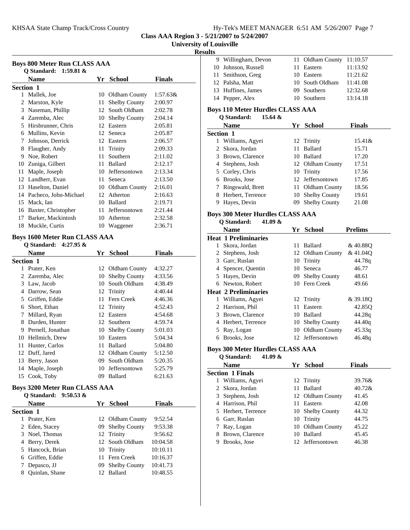### **University of Louisville**

# **Results**

| <b>Boys 800 Meter Run CLASS AAA</b> |                          |    |                      |               |  |
|-------------------------------------|--------------------------|----|----------------------|---------------|--|
|                                     | Q Standard: 1:59.81 &    |    |                      |               |  |
|                                     | Name                     | Yr | <b>School</b>        | <b>Finals</b> |  |
|                                     | <b>Section 1</b>         |    |                      |               |  |
| 1                                   | Mallek, Joe              |    | 10 Oldham County     | $1:57.63\&$   |  |
| 2                                   | Marston, Kyle            | 11 | <b>Shelby County</b> | 2:00.97       |  |
| 3                                   | Naseman, Phillip         |    | 12 South Oldham      | 2:02.78       |  |
| 4                                   | Zaremba, Alec            | 10 | <b>Shelby County</b> | 2:04.14       |  |
| 5                                   | Hirsbrunner, Chris       | 12 | Eastern              | 2:05.81       |  |
| 6                                   | Mullins, Kevin           | 12 | Seneca               | 2:05.87       |  |
| 7                                   | Johnson, Derrick         | 12 | Eastern              | 2:06.57       |  |
| 8                                   | Flaugher, Andy           | 11 | Trinity              | 2:09.33       |  |
| 9                                   | Noe, Robert              | 11 | Southern             | 2:11.02       |  |
| 10                                  | Zuniga, Gilbert          | 11 | <b>Ballard</b>       | 2:12.17       |  |
| 11                                  | Maple, Joseph            | 10 | Jeffersontown        | 2:13.34       |  |
| 12                                  | Landherr, Evan           | 11 | Seneca               | 2:13.50       |  |
| 13                                  | Haselton, Daniel         | 10 | Oldham County        | 2:16.01       |  |
|                                     | 14 Pacheco, John-Michael |    | 12 Atherton          | 2:16.63       |  |
| 15                                  | Mack, Ian                | 10 | <b>Ballard</b>       | 2:19.71       |  |
| 16                                  | Baxter, Christopher      | 11 | Jeffersontown        | 2:21.44       |  |
| 17                                  | Barker, Mackintosh       | 10 | Atherton             | 2:32.58       |  |
| 18                                  | Muckle, Curtis           |    | 10 Waggener          | 2:36.71       |  |

## **Boys 1600 Meter Run CLASS AAA**

|                  | <b>O</b> Standard: 4:27.95 & |     |                      |               |
|------------------|------------------------------|-----|----------------------|---------------|
|                  | <b>Name</b>                  | Yr. | <b>School</b>        | <b>Finals</b> |
| <b>Section 1</b> |                              |     |                      |               |
| 1                | Prater, Ken                  |     | 12 Oldham County     | 4:32.27       |
|                  | 2 Zaremba, Alec              | 10  | <b>Shelby County</b> | 4:33.56       |
| 3                | Law, Jacob                   | 10  | South Oldham         | 4:38.49       |
| 4                | Darrow, Sean                 |     | 12 Trinity           | 4:40.44       |
| 5                | Griffen, Eddie               | 11  | Fern Creek           | 4:46.36       |
| 6                | Short, Ethan                 |     | 12 Trinity           | 4:52.43       |
| 7                | Millard, Ryan                |     | 12 Eastern           | 4:54.68       |
| 8                | Durden, Hunter               |     | 12 Southern          | 4:59.74       |
| 9                | Pernell, Jonathan            | 10  | <b>Shelby County</b> | 5:01.03       |
| 10               | Hellmich, Drew               | 10  | Eastern              | 5:04.34       |
| 11               | Hunter, Carlos               | 11  | <b>Ballard</b>       | 5:04.80       |
| 12               | Duff, Jared                  |     | 12 Oldham County     | 5:12.50       |
| 13               | Berry, Jason                 | 09  | South Oldham         | 5:20.35       |
| 14               | Maple, Joseph                | 10  | Jeffersontown        | 5:25.79       |
| 15               | Cook, Toby                   | 09  | Ballard              | 6:21.63       |

#### **Boys 3200 Meter Run CLASS AAA Q Standard: 9:50.53 &**

| O Standard: $9:50.55 \&$ |                  |               |
|--------------------------|------------------|---------------|
| <b>Name</b>              | Yr School        | <b>Finals</b> |
| <b>Section 1</b>         |                  |               |
| Prater, Ken              | 12 Oldham County | 9:52.54       |
| 2 Eden, Stacey           | 09 Shelby County | 9:53.38       |
| 3 Noel, Thomas           | 12 Trinity       | 9:56.62       |
| 4 Berry, Derek           | 12 South Oldham  | 10:04.58      |
| 5 Hancock, Brian         | 10 Trinity       | 10:10.11      |
| 6 Griffen, Eddie         | 11 Fern Creek    | 10:16.37      |
| Depasco, JJ              | 09 Shelby County | 10:41.73      |
| Quinlan, Shane<br>8      | 12 Ballard       | 10:48.55      |
|                          |                  |               |

|  | 9 Willingham, Devon | 11 Oldham County 11:10.57 |          |
|--|---------------------|---------------------------|----------|
|  | 10 Johnson, Russell | 11 Eastern                | 11:13.92 |
|  | 11 Smithson, Greg   | 10 Eastern                | 11:21.62 |
|  | 12 Palsha, Matt     | 10 South Oldham           | 11:41.08 |
|  | 13 Huffines, James  | 09 Southern               | 12:32.68 |
|  | 14 Pepper, Alex     | 10 Southern               | 13:14.18 |
|  |                     |                           |          |

## **Boys 110 Meter Hurdles CLASS AAA**

| Q Standard: | 15.64 $\&$ |  |
|-------------|------------|--|
|-------------|------------|--|

|   | <b>Name</b>        | Yr  | <b>School</b>        | <b>Finals</b> |
|---|--------------------|-----|----------------------|---------------|
|   | <b>Section 1</b>   |     |                      |               |
| 1 | Williams, Agyei    |     | 12 Trinity           | 15.41&        |
|   | 2 Skora, Jordan    | 11. | Ballard              | 15.71         |
|   | 3 Brown, Clarence  |     | 10 Ballard           | 17.20         |
|   | 4 Stephens, Josh   |     | 12 Oldham County     | 17.51         |
|   | 5 Corley, Chris    |     | 10 Trinity           | 17.56         |
|   | 6 Brooks, Jose     |     | 12 Jeffersontown     | 17.85         |
|   | 7 Ringswald, Brett |     | 11 Oldham County     | 18.56         |
| 8 | Herbert, Terrence  |     | 10 Shelby County     | 19.61         |
|   | Hayes, Devin       | 09  | <b>Shelby County</b> | 21.08         |

## **Boys 300 Meter Hurdles CLASS AAA**

**Q Standard: 41.09 &**

|   | <b>Name</b>                 | Yr. | <b>School</b>        | <b>Prelims</b> |
|---|-----------------------------|-----|----------------------|----------------|
|   | <b>Heat 1 Preliminaries</b> |     |                      |                |
|   | Skora, Jordan               | 11. | Ballard              | &40.880        |
| 2 | Stephens, Josh              |     | 12 Oldham County     | &41.040        |
| 3 | Garr, Ruslan                |     | 10 Trinity           | 44.78g         |
| 4 | Spencer, Quentin            |     | 10 Seneca            | 46.77          |
| 5 | Hayes, Devin                | 09. | <b>Shelby County</b> | 48.61          |
|   | 6 Newton, Robert            |     | 10 Fern Creek        | 49.66          |
|   | <b>Heat 2 Preliminaries</b> |     |                      |                |
| 1 | Williams, Agyei             |     | 12 Trinity           | &39.180        |
|   | 2 Harrison, Phil            | 11  | Eastern              | 42.85Q         |
| 3 | Brown, Clarence             |     | 10 Ballard           | 44.28g         |
| 4 | Herbert, Terrence           |     | 10 Shelby County     | 44.40g         |
| 5 | Ray, Logan                  |     | 10 Oldham County     | 45.33q         |
| 6 | Brooks, Jose                |     | 12 Jeffersontown     | 46.48q         |

### **Boys 300 Meter Hurdles CLASS AAA**

#### **Q Standard: 41.09 &**

L,

| Name                    | Yr | <b>School</b>  | Finals                                                                                                              |
|-------------------------|----|----------------|---------------------------------------------------------------------------------------------------------------------|
| <b>Section 1 Finals</b> |    |                |                                                                                                                     |
| Williams, Agyei         |    |                | 39.76&                                                                                                              |
| 2 Skora, Jordan         | 11 | <b>Ballard</b> | 40.728                                                                                                              |
| 3 Stephens, Josh        |    |                | 41.45                                                                                                               |
| 4 Harrison, Phil        | 11 | Eastern        | 42.08                                                                                                               |
| 5 Herbert, Terrence     |    |                | 44.32                                                                                                               |
| 6 Garr, Ruslan          |    |                | 44.75                                                                                                               |
| Ray, Logan              |    |                | 45.22                                                                                                               |
| Brown, Clarence         | 10 |                | 45.45                                                                                                               |
| Brooks, Jose            |    |                | 46.38                                                                                                               |
|                         |    |                | 12 Trinity<br>12 Oldham County<br>10 Shelby County<br>10 Trinity<br>10 Oldham County<br>Ballard<br>12 Jeffersontown |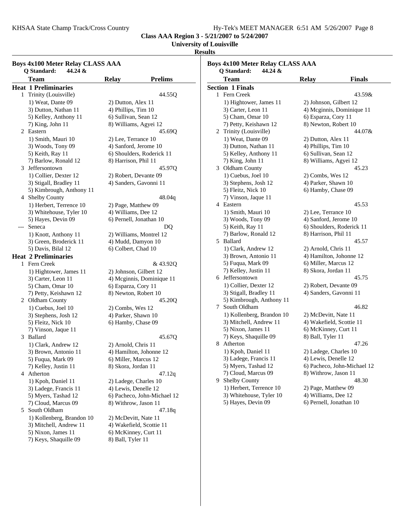**University of Louisville**

## **Results**

| <b>Boys 4x100 Meter Relay CLASS AAA</b><br>Q Standard:<br>44.24 & |                                              |                                              |                                                     |  |  |
|-------------------------------------------------------------------|----------------------------------------------|----------------------------------------------|-----------------------------------------------------|--|--|
|                                                                   | <b>Team</b>                                  | <b>Relay</b>                                 | <b>Prelims</b>                                      |  |  |
|                                                                   | <b>Heat 1 Preliminaries</b>                  |                                              |                                                     |  |  |
|                                                                   | 1 Trinity (Louisville)                       |                                              | 44.55Q                                              |  |  |
| 1) Weat, Dante 09                                                 |                                              | 2) Dutton, Alex 11                           |                                                     |  |  |
|                                                                   | 3) Dutton, Nathan 11                         | 4) Phillips, Tim 10                          |                                                     |  |  |
|                                                                   | 5) Kelley, Anthony 11                        | 6) Sullivan, Sean 12                         |                                                     |  |  |
|                                                                   | 7) King, John 11                             |                                              | 8) Williams, Agyei 12                               |  |  |
|                                                                   | 2 Eastern                                    |                                              | 45.69Q                                              |  |  |
|                                                                   | 1) Smith, Mauri 10                           |                                              |                                                     |  |  |
|                                                                   | 3) Woods, Tony 09                            | 2) Lee, Terrance 10<br>4) Sanford, Jerome 10 |                                                     |  |  |
|                                                                   | 5) Keith, Ray 11                             |                                              | 6) Shoulders, Roderick 11                           |  |  |
|                                                                   | 7) Barlow, Ronald 12                         | 8) Harrison, Phil 11                         |                                                     |  |  |
|                                                                   | 3 Jeffersontown                              |                                              | 45.97Q                                              |  |  |
|                                                                   | 1) Collier, Dexter 12                        |                                              | 2) Robert, Devante 09                               |  |  |
|                                                                   | 3) Stigall, Bradley 11                       |                                              | 4) Sanders, Gavonni 11                              |  |  |
|                                                                   | 5) Kimbrough, Anthony 11                     |                                              |                                                     |  |  |
|                                                                   | 4 Shelby County                              |                                              | 48.04q                                              |  |  |
|                                                                   | 1) Herbert, Terrence 10                      |                                              |                                                     |  |  |
|                                                                   | 3) Whitehouse, Tyler 10                      | 4) Williams, Dee 12                          | 2) Page, Matthew 09                                 |  |  |
|                                                                   | 5) Hayes, Devin 09                           |                                              | 6) Pernell, Jonathan 10                             |  |  |
| ---                                                               | Seneca                                       |                                              |                                                     |  |  |
|                                                                   |                                              |                                              | DQ                                                  |  |  |
|                                                                   | 1) Knott, Anthony 11                         |                                              | 2) Williams, Montrel 12                             |  |  |
|                                                                   | 3) Green, Broderick 11<br>5) Davis, Bilal 12 | 6) Colbert, Chad 10                          | 4) Mudd, Damyon 10                                  |  |  |
|                                                                   | <b>Heat 2 Preliminaries</b>                  |                                              |                                                     |  |  |
|                                                                   | 1 Fern Creek                                 |                                              | & 43.92Q                                            |  |  |
|                                                                   |                                              |                                              |                                                     |  |  |
|                                                                   | 1) Hightower, James 11<br>3) Carter, Leon 11 |                                              | 2) Johnson, Gilbert 12                              |  |  |
|                                                                   | 5) Cham, Omar 10                             | 6) Esparza, Cory 11                          | 4) Mcginnis, Dominique 11                           |  |  |
|                                                                   | 7) Petty, Keishawn 12                        |                                              | 8) Newton, Robert 10                                |  |  |
|                                                                   | 2 Oldham County                              |                                              | 45.20Q                                              |  |  |
|                                                                   |                                              |                                              |                                                     |  |  |
|                                                                   | 1) Cuebus, Joel 10                           | 2) Combs, Wes 12                             | 4) Parker, Shawn 10                                 |  |  |
|                                                                   | 3) Stephens, Josh 12<br>5) Fleitz, Nick 10   |                                              | 6) Hamby, Chase 09                                  |  |  |
|                                                                   | 7) Vinson, Jaque 11                          |                                              |                                                     |  |  |
|                                                                   | 3 Ballard                                    |                                              | 45.67Q                                              |  |  |
|                                                                   | 1) Clark, Andrew 12                          | 2) Arnold, Chris 11                          |                                                     |  |  |
|                                                                   | 3) Brown, Antonio 11                         |                                              | 4) Hamilton, Johonne 12                             |  |  |
|                                                                   |                                              |                                              | 6) Miller, Marcus 12                                |  |  |
|                                                                   | 5) Fuqua, Mark 09<br>7) Kelley, Justin 11    | 8) Skora, Jordan 11                          |                                                     |  |  |
|                                                                   | 4 Atherton                                   |                                              |                                                     |  |  |
|                                                                   |                                              |                                              | 47.12q                                              |  |  |
|                                                                   | 1) Kpoh, Daniel 11                           |                                              | 2) Ladege, Charles 10                               |  |  |
|                                                                   | 3) Ladege, Francis 11                        |                                              | 4) Lewis, Denelle 12<br>6) Pacheco, John-Michael 12 |  |  |
|                                                                   | 5) Myers, Tashad 12                          |                                              |                                                     |  |  |
|                                                                   | 7) Cloud, Marcus 09                          |                                              | 8) Withrow, Jason 11                                |  |  |
|                                                                   | 5 South Oldham                               |                                              | 47.18q                                              |  |  |
|                                                                   | 1) Kollenberg, Brandon 10                    |                                              | 2) McDevitt, Nate 11                                |  |  |
|                                                                   | 3) Mitchell, Andrew 11                       |                                              | 4) Wakefield, Scottie 11                            |  |  |
|                                                                   | 5) Nixon, James 11                           |                                              | 6) McKinney, Curt 11                                |  |  |
|                                                                   | 7) Keys, Shaquille 09                        | 8) Ball, Tyler 11                            |                                                     |  |  |

| <b>Boys 4x100 Meter Relay CLASS AAA</b> |                           |                           |                             |  |  |  |
|-----------------------------------------|---------------------------|---------------------------|-----------------------------|--|--|--|
| Q Standard:<br>44.24 &                  |                           |                           |                             |  |  |  |
|                                         | Team                      | <b>Relay</b>              | Finals                      |  |  |  |
|                                         | <b>Section 1 Finals</b>   |                           |                             |  |  |  |
| 1                                       | Fern Creek                |                           | 43.59&                      |  |  |  |
|                                         | 1) Hightower, James 11    | 2) Johnson, Gilbert 12    |                             |  |  |  |
|                                         | 3) Carter, Leon 11        |                           | 4) Mcginnis, Dominique 11   |  |  |  |
|                                         | 5) Cham, Omar 10          | 6) Esparza, Cory 11       |                             |  |  |  |
|                                         | 7) Petty, Keishawn 12     | 8) Newton, Robert 10      |                             |  |  |  |
|                                         | 2 Trinity (Louisville)    |                           | 44.07&                      |  |  |  |
|                                         | 1) Weat, Dante 09         | 2) Dutton, Alex 11        |                             |  |  |  |
|                                         | 3) Dutton, Nathan 11      | 4) Phillips, Tim 10       |                             |  |  |  |
|                                         | 5) Kelley, Anthony 11     | 6) Sullivan, Sean 12      |                             |  |  |  |
|                                         | 7) King, John 11          | 8) Williams, Agyei 12     |                             |  |  |  |
|                                         | 3 Oldham County           |                           | 45.23                       |  |  |  |
|                                         | 1) Cuebus, Joel 10        | 2) Combs, Wes 12          |                             |  |  |  |
|                                         | 3) Stephens, Josh 12      | 4) Parker, Shawn 10       |                             |  |  |  |
|                                         | 5) Fleitz, Nick 10        | 6) Hamby, Chase 09        |                             |  |  |  |
|                                         | 7) Vinson, Jaque 11       |                           |                             |  |  |  |
| 4 Eastern                               |                           |                           | 45.53                       |  |  |  |
|                                         | 1) Smith, Mauri 10        | 2) Lee, Terrance 10       |                             |  |  |  |
|                                         | 3) Woods, Tony 09         | 4) Sanford, Jerome 10     |                             |  |  |  |
| 5) Keith, Ray 11                        |                           | 6) Shoulders, Roderick 11 |                             |  |  |  |
|                                         | 7) Barlow, Ronald 12      | 8) Harrison, Phil 11      |                             |  |  |  |
| 5 Ballard                               |                           |                           | 45.57                       |  |  |  |
|                                         | 1) Clark, Andrew 12       | 2) Arnold, Chris 11       |                             |  |  |  |
|                                         | 3) Brown, Antonio 11      |                           | 4) Hamilton, Johonne 12     |  |  |  |
|                                         | 5) Fuqua, Mark 09         | 6) Miller, Marcus 12      |                             |  |  |  |
|                                         | 7) Kelley, Justin 11      | 8) Skora, Jordan 11       |                             |  |  |  |
|                                         | 6 Jeffersontown           |                           | 45.75                       |  |  |  |
|                                         | 1) Collier, Dexter 12     | 2) Robert, Devante 09     |                             |  |  |  |
|                                         | 3) Stigall, Bradley 11    | 4) Sanders, Gavonni 11    |                             |  |  |  |
|                                         | 5) Kimbrough, Anthony 11  |                           |                             |  |  |  |
|                                         | 7 South Oldham            |                           | 46.82                       |  |  |  |
|                                         | 1) Kollenberg, Brandon 10 | 2) McDevitt, Nate 11      |                             |  |  |  |
|                                         | 3) Mitchell, Andrew 11    |                           | 4) Wakefield, Scottie 11    |  |  |  |
|                                         | 5) Nixon, James 11        | 6) McKinney, Curt 11      |                             |  |  |  |
|                                         | 7) Keys, Shaquille 09     | 8) Ball, Tyler 11         |                             |  |  |  |
|                                         | 8 Atherton                |                           | 47.26                       |  |  |  |
|                                         | 1) Kpoh, Daniel 11        | 2) Ladege, Charles 10     |                             |  |  |  |
|                                         | 3) Ladege, Francis 11     | 4) Lewis, Denelle 12      |                             |  |  |  |
|                                         | 5) Myers, Tashad 12       |                           | 6) Pacheco, John-Michael 12 |  |  |  |
|                                         |                           | 8) Withrow, Jason 11      |                             |  |  |  |
|                                         | 7) Cloud, Marcus 09       |                           |                             |  |  |  |
|                                         | 9 Shelby County           |                           | 48.30                       |  |  |  |
|                                         | 1) Herbert, Terrence 10   | 2) Page, Matthew 09       |                             |  |  |  |
|                                         | 3) Whitehouse, Tyler 10   | 4) Williams, Dee 12       |                             |  |  |  |
|                                         | 5) Hayes, Devin 09        | 6) Pernell, Jonathan 10   |                             |  |  |  |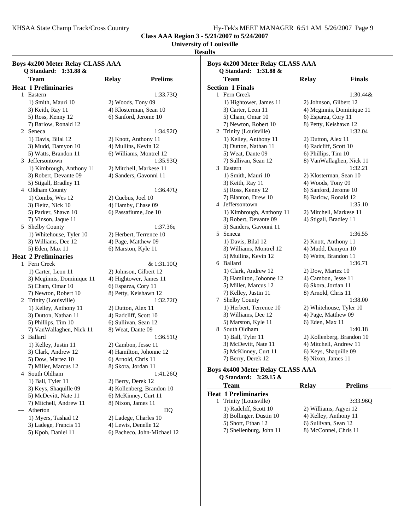$1:30.44&$ 

3:33.96Q

**Class AAA Region 3 - 5/21/2007 to 5/24/2007**

### **University of Louisville**

# **Results**

| <b>Boys 4x200 Meter Relay CLASS AAA</b><br>Q Standard: 1:31.88 & |                             |                             | <b>Boys 4x200 Meter Relay CLASS AAA</b> |                         |                                         |                         |                           |
|------------------------------------------------------------------|-----------------------------|-----------------------------|-----------------------------------------|-------------------------|-----------------------------------------|-------------------------|---------------------------|
|                                                                  |                             |                             | Q Standard: 1:31.88 &                   |                         |                                         |                         |                           |
|                                                                  | <b>Team</b>                 | <b>Relay</b>                | <b>Prelims</b>                          | <b>Team</b>             |                                         | <b>Relay</b>            | <b>Finals</b>             |
|                                                                  | <b>Heat 1 Preliminaries</b> |                             |                                         | <b>Section 1 Finals</b> |                                         |                         |                           |
|                                                                  | 1 Eastern                   |                             | 1:33.73Q                                | 1 Fern Creek            |                                         |                         | 1:30.44&                  |
|                                                                  | 1) Smith, Mauri 10          | 2) Woods, Tony 09           |                                         |                         | 1) Hightower, James 11                  | 2) Johnson, Gilbert 12  |                           |
|                                                                  | 3) Keith, Ray 11            | 4) Klosterman, Sean 10      |                                         |                         | 3) Carter, Leon 11                      |                         | 4) Mcginnis, Dominique 11 |
|                                                                  | 5) Ross, Kenny 12           | 6) Sanford, Jerome 10       |                                         |                         | 5) Cham, Omar 10                        | 6) Esparza, Cory 11     |                           |
|                                                                  | 7) Barlow, Ronald 12        |                             |                                         |                         | 7) Newton, Robert 10                    | 8) Petty, Keishawn 12   |                           |
| 2                                                                | Seneca                      |                             | 1:34.92Q                                |                         | 2 Trinity (Louisville)                  |                         | 1:32.04                   |
|                                                                  | 1) Davis, Bilal 12          | 2) Knott, Anthony 11        |                                         |                         | 1) Kelley, Anthony 11                   | 2) Dutton, Alex 11      |                           |
|                                                                  | 3) Mudd, Damyon 10          | 4) Mullins, Kevin 12        |                                         |                         | 3) Dutton, Nathan 11                    | 4) Radcliff, Scott 10   |                           |
|                                                                  | 5) Watts, Brandon 11        | 6) Williams, Montrel 12     |                                         |                         | 5) Weat, Dante 09                       | 6) Phillips, Tim 10     |                           |
| 3                                                                | Jeffersontown               |                             | 1:35.93Q                                |                         | 7) Sullivan, Sean 12                    |                         | 8) VanWallaghen, Nick 11  |
|                                                                  | 1) Kimbrough, Anthony 11    | 2) Mitchell, Markese 11     |                                         | 3 Eastern               |                                         |                         | 1:32.21                   |
|                                                                  | 3) Robert, Devante 09       | 4) Sanders, Gavonni 11      |                                         |                         | 1) Smith, Mauri 10                      | 2) Klosterman, Sean 10  |                           |
|                                                                  | 5) Stigall, Bradley 11      |                             |                                         |                         | 3) Keith, Ray 11                        | 4) Woods, Tony 09       |                           |
|                                                                  | 4 Oldham County             |                             | 1:36.47Q                                |                         | 5) Ross, Kenny 12                       | 6) Sanford, Jerome 10   |                           |
|                                                                  | 1) Combs, Wes 12            | 2) Cuebus, Joel 10          |                                         |                         | 7) Blanton, Drew 10                     | 8) Barlow, Ronald 12    |                           |
|                                                                  | 3) Fleitz, Nick 10          | 4) Hamby, Chase 09          |                                         |                         | 4 Jeffersontown                         |                         | 1:35.10                   |
|                                                                  | 5) Parker, Shawn 10         | 6) Passafiume, Joe 10       |                                         |                         | 1) Kimbrough, Anthony 11                | 2) Mitchell, Markese 11 |                           |
|                                                                  | 7) Vinson, Jaque 11         |                             |                                         |                         | 3) Robert, Devante 09                   | 4) Stigall, Bradley 11  |                           |
|                                                                  | 5 Shelby County             |                             | 1:37.36q                                |                         | 5) Sanders, Gavonni 11                  |                         |                           |
|                                                                  | 1) Whitehouse, Tyler 10     | 2) Herbert, Terrence 10     |                                         | 5 Seneca                |                                         |                         | 1:36.55                   |
|                                                                  | 3) Williams, Dee 12         | 4) Page, Matthew 09         |                                         |                         | 1) Davis, Bilal 12                      | 2) Knott, Anthony 11    |                           |
|                                                                  | 5) Eden, Max 11             | 6) Marston, Kyle 11         |                                         |                         | 3) Williams, Montrel 12                 | 4) Mudd, Damyon 10      |                           |
|                                                                  | <b>Heat 2 Preliminaries</b> |                             |                                         |                         | 5) Mullins, Kevin 12                    | 6) Watts, Brandon 11    |                           |
|                                                                  | 1 Fern Creek                |                             | & 1:31.10Q                              | 6 Ballard               |                                         |                         | 1:36.71                   |
|                                                                  | 1) Carter, Leon 11          | 2) Johnson, Gilbert 12      |                                         |                         | 1) Clark, Andrew 12                     | 2) Dow, Martez 10       |                           |
|                                                                  |                             |                             |                                         |                         | 3) Hamilton, Johonne 12                 | 4) Cambon, Jesse 11     |                           |
|                                                                  | 3) Mcginnis, Dominique 11   | 4) Hightower, James 11      |                                         |                         | 5) Miller, Marcus 12                    | 6) Skora, Jordan 11     |                           |
|                                                                  | 5) Cham, Omar 10            | 6) Esparza, Cory 11         |                                         |                         | 7) Kelley, Justin 11                    | 8) Arnold, Chris 11     |                           |
|                                                                  | 7) Newton, Robert 10        | 8) Petty, Keishawn 12       |                                         |                         |                                         |                         | 1:38.00                   |
|                                                                  | 2 Trinity (Louisville)      |                             | 1:32.72Q                                | 7                       | <b>Shelby County</b>                    |                         |                           |
|                                                                  | 1) Kelley, Anthony 11       | 2) Dutton, Alex 11          |                                         |                         | 1) Herbert, Terrence 10                 |                         | 2) Whitehouse, Tyler 10   |
|                                                                  | 3) Dutton, Nathan 11        | 4) Radcliff, Scott 10       |                                         |                         | 3) Williams, Dee 12                     | 4) Page, Matthew 09     |                           |
|                                                                  | 5) Phillips, Tim 10         | 6) Sullivan, Sean 12        |                                         |                         | 5) Marston, Kyle 11                     | 6) Eden, Max 11         |                           |
|                                                                  | 7) VanWallaghen, Nick 11    | 8) Weat, Dante 09           |                                         |                         | 8 South Oldham                          |                         | 1:40.18                   |
|                                                                  | 3 Ballard                   |                             | 1:36.51Q                                |                         | 1) Ball, Tyler 11                       |                         | 2) Kollenberg, Brandon 10 |
|                                                                  | 1) Kelley, Justin 11        | 2) Cambon, Jesse 11         |                                         |                         | 3) McDevitt, Nate 11                    | 4) Mitchell, Andrew 11  |                           |
|                                                                  | 3) Clark, Andrew 12         | 4) Hamilton, Johonne 12     |                                         |                         | 5) McKinney, Curt 11                    | 6) Keys, Shaquille 09   |                           |
|                                                                  | 5) Dow, Martez 10           | 6) Arnold, Chris 11         |                                         |                         | 7) Berry, Derek 12                      | 8) Nixon, James 11      |                           |
|                                                                  | 7) Miller, Marcus 12        | 8) Skora, Jordan 11         |                                         |                         | <b>Boys 4x400 Meter Relay CLASS AAA</b> |                         |                           |
|                                                                  | 4 South Oldham              |                             | 1:41.26Q                                |                         | Q Standard: 3:29.15 &                   |                         |                           |
|                                                                  | 1) Ball, Tyler 11           | 2) Berry, Derek 12          |                                         |                         |                                         |                         |                           |
|                                                                  | 3) Keys, Shaquille 09       | 4) Kollenberg, Brandon 10   |                                         | <b>Team</b>             |                                         | <b>Relay</b>            | <b>Prelims</b>            |
|                                                                  | 5) McDevitt, Nate 11        | 6) McKinney, Curt 11        |                                         |                         | <b>Heat 1 Preliminaries</b>             |                         |                           |
|                                                                  | 7) Mitchell, Andrew 11      | 8) Nixon, James 11          |                                         |                         | 1 Trinity (Louisville)                  |                         | 3:33.96Q                  |
| $-\,--$                                                          | Atherton                    |                             | DQ                                      |                         | 1) Radcliff, Scott 10                   | 2) Williams, Agyei 12   |                           |
|                                                                  | 1) Myers, Tashad 12         | 2) Ladege, Charles 10       |                                         |                         | 3) Bollinger, Dustin 10                 | 4) Kelley, Anthony 11   |                           |
|                                                                  | 3) Ladege, Francis 11       | 4) Lewis, Denelle 12        |                                         |                         | 5) Short, Ethan 12                      | 6) Sullivan, Sean 12    |                           |
|                                                                  | 5) Kpoh, Daniel 11          | 6) Pacheco, John-Michael 12 |                                         |                         | 7) Shellenburg, John 11                 | 8) McConnel, Chris 11   |                           |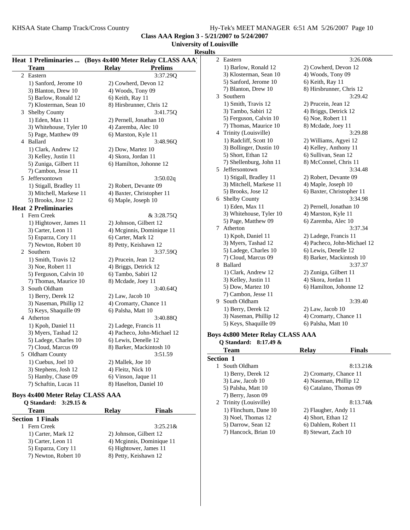2 8:13.74& Trinity (Louisville) 1) Flinchum, Dane 10 2) Flaugher, Andy 11 3) Noel, Thomas 12 4) Short, Ethan 12<br>5) Darrow, Sean 12 6) Dahlem, Robert

7) Hancock, Brian 10

6) Dahlem, Robert 11<br>8) Stewart, Zach 10

**Class AAA Region 3 - 5/21/2007 to 5/24/2007**

# **University of Louisville**

### **Results**

|   | Heat 1 Preliminaries  (Boys 4x400 Meter Relay CLASS AAA) |                                | 3:26.00&<br>2 Eastern                   |                             |  |
|---|----------------------------------------------------------|--------------------------------|-----------------------------------------|-----------------------------|--|
|   | Team                                                     | <b>Prelims</b><br><b>Relay</b> | 1) Barlow, Ronald 12                    | 2) Cowherd, Devon 12        |  |
|   | 2 Eastern                                                | 3:37.29Q                       | 3) Klosterman, Sean 10                  | 4) Woods, Tony 09           |  |
|   | 1) Sanford, Jerome 10                                    | 2) Cowherd, Devon 12           | 5) Sanford, Jerome 10                   | 6) Keith, Ray 11            |  |
|   | 3) Blanton, Drew 10                                      | 4) Woods, Tony 09              | 7) Blanton, Drew 10                     | 8) Hirsbrunner, Chris 12    |  |
|   | 5) Barlow, Ronald 12                                     | 6) Keith, Ray 11               | 3 Southern                              | 3:29.42                     |  |
|   | 7) Klosterman, Sean 10                                   | 8) Hirsbrunner, Chris 12       | 1) Smith, Travis 12                     | 2) Prucein, Jean 12         |  |
|   | 3 Shelby County                                          | 3:41.75Q                       | 3) Tambo, Sabiri 12                     | 4) Briggs, Detrick 12       |  |
|   | 1) Eden, Max 11                                          | 2) Pernell, Jonathan 10        | 5) Ferguson, Calvin 10                  | 6) Noe, Robert 11           |  |
|   | 3) Whitehouse, Tyler 10                                  | 4) Zaremba, Alec 10            | 7) Thomas, Maurice 10                   | 8) Mcdade, Joey 11          |  |
|   | 5) Page, Matthew 09                                      | 6) Marston, Kyle 11            | 4 Trinity (Louisville)                  | 3:29.88                     |  |
|   | 4 Ballard                                                | 3:48.96Q                       | 1) Radcliff, Scott 10                   | 2) Williams, Agyei 12       |  |
|   | 1) Clark, Andrew 12                                      | 2) Dow, Martez 10              | 3) Bollinger, Dustin 10                 | 4) Kelley, Anthony 11       |  |
|   | 3) Kelley, Justin 11                                     | 4) Skora, Jordan 11            | 5) Short, Ethan 12                      | 6) Sullivan, Sean 12        |  |
|   | 5) Zuniga, Gilbert 11                                    | 6) Hamilton, Johonne 12        | 7) Shellenburg, John 11                 | 8) McConnel, Chris 11       |  |
|   | 7) Cambon, Jesse 11                                      |                                | 5 Jeffersontown                         | 3:34.48                     |  |
|   | 5 Jeffersontown                                          | 3:50.02q                       | 1) Stigall, Bradley 11                  | 2) Robert, Devante 09       |  |
|   | 1) Stigall, Bradley 11                                   | 2) Robert, Devante 09          | 3) Mitchell, Markese 11                 | 4) Maple, Joseph 10         |  |
|   | 3) Mitchell, Markese 11                                  | 4) Baxter, Christopher 11      | 5) Brooks, Jose 12                      | 6) Baxter, Christopher 11   |  |
|   | 5) Brooks, Jose 12                                       | 6) Maple, Joseph 10            | 6 Shelby County                         | 3:34.98                     |  |
|   | <b>Heat 2 Preliminaries</b>                              |                                | 1) Eden, Max 11                         | 2) Pernell, Jonathan 10     |  |
|   | 1 Fern Creek                                             | & 3:28.75Q                     | 3) Whitehouse, Tyler 10                 | 4) Marston, Kyle 11         |  |
|   | 1) Hightower, James 11                                   | 2) Johnson, Gilbert 12         | 5) Page, Matthew 09                     | 6) Zaremba, Alec 10         |  |
|   | 3) Carter, Leon 11                                       | 4) Mcginnis, Dominique 11      | 7 Atherton                              | 3:37.34                     |  |
|   | 5) Esparza, Cory 11                                      | 6) Carter, Mark 12             | 1) Kpoh, Daniel 11                      | 2) Ladege, Francis 11       |  |
|   | 7) Newton, Robert 10                                     | 8) Petty, Keishawn 12          | 3) Myers, Tashad 12                     | 4) Pacheco, John-Michael 12 |  |
|   | 2 Southern                                               | 3:37.59Q                       | 5) Ladege, Charles 10                   | 6) Lewis, Denelle 12        |  |
|   | 1) Smith, Travis 12                                      | 2) Prucein, Jean 12            | 7) Cloud, Marcus 09                     | 8) Barker, Mackintosh 10    |  |
|   | 3) Noe, Robert 11                                        | 4) Briggs, Detrick 12          | 8 Ballard                               | 3:37.37                     |  |
|   | 5) Ferguson, Calvin 10                                   | 6) Tambo, Sabiri 12            | 1) Clark, Andrew 12                     | 2) Zuniga, Gilbert 11       |  |
|   | 7) Thomas, Maurice 10                                    | 8) Mcdade, Joey 11             | 3) Kelley, Justin 11                    | 4) Skora, Jordan 11         |  |
| 3 | South Oldham                                             | 3:40.64Q                       | 5) Dow, Martez 10                       | 6) Hamilton, Johonne 12     |  |
|   | 1) Berry, Derek 12                                       | $2)$ Law, Jacob 10             | 7) Cambon, Jesse 11                     |                             |  |
|   | 3) Naseman, Phillip 12                                   | 4) Cromarty, Chance 11         | 9 South Oldham                          | 3:39.40                     |  |
|   | 5) Keys, Shaquille 09                                    | 6) Palsha, Matt 10             | 1) Berry, Derek 12                      | 2) Law, Jacob 10            |  |
|   | 4 Atherton                                               | 3:40.88Q                       | 3) Naseman, Phillip 12                  | 4) Cromarty, Chance 11      |  |
|   | 1) Kpoh, Daniel 11                                       | 2) Ladege, Francis 11          | 5) Keys, Shaquille 09                   | 6) Palsha, Matt 10          |  |
|   | 3) Myers, Tashad 12                                      | 4) Pacheco, John-Michael 12    | <b>Boys 4x800 Meter Relay CLASS AAA</b> |                             |  |
|   | 5) Ladege, Charles 10                                    | 6) Lewis, Denelle 12           | Q Standard: 8:17.49 &                   |                             |  |
|   | 7) Cloud, Marcus 09                                      | 8) Barker, Mackintosh 10       | <b>Team</b>                             | Relay<br><b>Finals</b>      |  |
|   | 5 Oldham County                                          | 3:51.59                        | Section 1                               |                             |  |
|   | 1) Cuebus, Joel 10                                       | 2) Mallek, Joe 10              | 1 South Oldham                          | $8:13.21$ &                 |  |
|   | 3) Stephens, Josh 12                                     | 4) Fleitz, Nick 10             | 1) Berry, Derek 12                      | 2) Cromarty, Chance 11      |  |
|   | 5) Hamby, Chase 09                                       | 6) Vinson, Jaque 11            | 3) Law, Jacob 10                        | 4) Naseman, Phillip 12      |  |
|   | 7) Schaftin, Lucas 11                                    | 8) Haselton, Daniel 10         | 5) Palsha, Matt 10                      | 6) Catalano, Thomas 09      |  |
|   | <b>Boys 4x400 Meter Relay CLASS AAA</b>                  |                                | 7) Berry, Jason 09                      |                             |  |
|   |                                                          |                                |                                         |                             |  |

#### **Boys 4x400 Meter Relay CLASS AAA Q Standard: 3:29.15 &**

| Team                    | Relay                     | <b>Finals</b> |  |
|-------------------------|---------------------------|---------------|--|
| <b>Section 1 Finals</b> |                           |               |  |
| 1 Fern Creek            |                           | $3:25.21\&$   |  |
| 1) Carter, Mark 12      | 2) Johnson, Gilbert 12    |               |  |
| 3) Carter, Leon 11      | 4) Mcginnis, Dominique 11 |               |  |
| 5) Esparza, Cory 11     | 6) Hightower, James 11    |               |  |
| 7) Newton, Robert 10    | 8) Petty, Keishawn 12     |               |  |
|                         |                           |               |  |